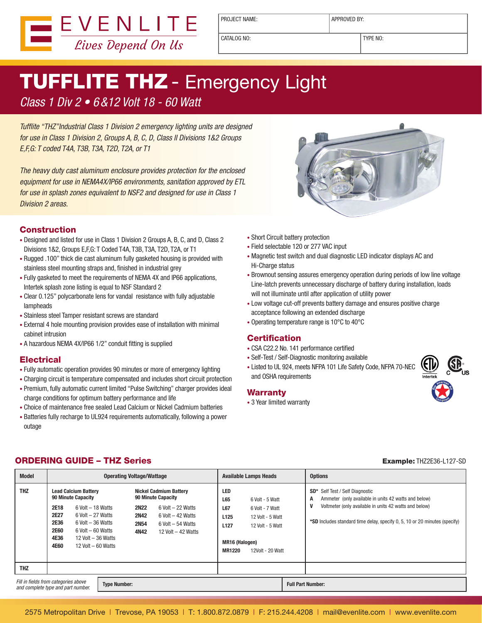

PROJECT NAME:  $\vert$  APPROVED BY:

CATALOG NO: TYPE NO:

# **TUFFLITE THZ** - Emergency Light

### Class 1 Div 2 • 6&12 Volt 18 - 60 Watt

Tufflite "THZ"Industrial Class 1 Division 2 emergency lighting units are designed for use in Class 1 Division 2, Groups A, B, C, D, Class II Divisions 1&2 Groups E,F,G: T coded T4A, T3B, T3A, T2D, T2A, or T1

The heavy duty cast aluminum enclosure provides protection for the enclosed equipment for use in NEMA4X/IP66 environments, sanitation approved by ETL for use in splash zones equivalent to NSF2 and designed for use in Class 1 Division 2 areas.



- Designed and listed for use in Class 1 Division 2 Groups A, B, C, and D, Class 2 Divisions 1&2, Groups E,F,G: T Coded T4A, T3B, T3A, T2D, T2A, or T1
- Rugged .100" thick die cast aluminum fully gasketed housing is provided with stainless steel mounting straps and, finished in industrial grey
- Fully gasketed to meet the requirements of NEMA 4X and IP66 applications, Intertek splash zone listing is equal to NSF Standard 2
- Clear 0.125" polycarbonate lens for vandal resistance with fully adjustable lampheads
- Stainless steel Tamper resistant screws are standard
- External 4 hole mounting provision provides ease of installation with minimal cabinet intrusion
- A hazardous NEMA 4X/IP66 1/2" conduit fitting is supplied

#### **Electrical**

- Fully automatic operation provides 90 minutes or more of emergency lighting
- Charging circuit is temperature compensated and includes short circuit protection • Premium, fully automatic current limited "Pulse Switching" charger provides ideal charge conditions for optimum battery performance and life
- Choice of maintenance free sealed Lead Calcium or Nickel Cadmium batteries
- Batteries fully recharge to UL924 requirements automatically, following a power outage



- Short Circuit battery protection • Field selectable 120 or 277 VAC input
- Magnetic test switch and dual diagnostic LED indicator displays AC and Hi-Charge status
- Brownout sensing assures emergency operation during periods of low line voltage Line-latch prevents unnecessary discharge of battery during installation, loads will not illuminate until after application of utility power
- Low voltage cut-off prevents battery damage and ensures positive charge acceptance following an extended discharge
- Operating temperature range is 10°C to 40°C

#### **Certification**

- CSA C22.2 No. 141 performance certified
- Self-Test / Self-Diagnostic monitoring available
- Listed to UL 924, meets NFPA 101 Life Safety Code, NFPA 70-NEC and OSHA requirements

#### Warranty

• 3 Year limited warranty



### **ORDERING GUIDE – THZ Series Example: THZ2E36-L127-SD**

| <b>Model</b>                                                                                      |                                                                                                                                                                                                                                                                       | <b>Operating Voltage/Wattage</b>                                                                                                                                                                          | <b>Available Lamps Heads</b>                                                                                                                                                                          | <b>Options</b>                                                                                                                                                                                                                                   |
|---------------------------------------------------------------------------------------------------|-----------------------------------------------------------------------------------------------------------------------------------------------------------------------------------------------------------------------------------------------------------------------|-----------------------------------------------------------------------------------------------------------------------------------------------------------------------------------------------------------|-------------------------------------------------------------------------------------------------------------------------------------------------------------------------------------------------------|--------------------------------------------------------------------------------------------------------------------------------------------------------------------------------------------------------------------------------------------------|
| <b>THZ</b>                                                                                        | <b>Lead Calcium Battery</b><br>90 Minute Capacity<br>2E18<br>$6$ Volt $-18$ Watts<br>2E27<br>$6$ Volt $-27$ Watts<br><b>2E36</b><br>$6$ Volt $-36$ Watts<br><b>2E60</b><br>$6$ Volt $-60$ Watts<br>4E36<br>12 Volt $-$ 36 Watts<br><b>4E60</b><br>12 Volt $-60$ Watts | <b>Nickel Cadmium Battery</b><br>90 Minute Capacity<br><b>2N22</b><br>$6$ Volt $-22$ Watts<br><b>2N42</b><br>$6$ Volt $-$ 42 Watts<br><b>2N54</b><br>$6$ Volt $-54$ Watts<br>4N42<br>12 Volt $-$ 42 Watts | LED<br><b>L65</b><br>6 Volt - 5 Watt<br>L67<br>6 Volt - 7 Watt<br>L <sub>125</sub><br>12 Volt - 5 Watt<br>L <sub>127</sub><br>12 Volt - 5 Watt<br>MR16 (Halogen)<br><b>MR1220</b><br>12Volt - 20 Watt | SD <sup>*</sup> Self Test / Self Diagnostic<br>Ammeter (only available in units 42 watts and below)<br>A<br>Voltmeter (only available in units 42 watts and below)<br>*SD Includes standard time delay, specify 0, 5, 10 or 20 minutes (specify) |
| <b>THZ</b>                                                                                        |                                                                                                                                                                                                                                                                       |                                                                                                                                                                                                           |                                                                                                                                                                                                       |                                                                                                                                                                                                                                                  |
| Fill in fields from categories above<br><b>Type Number:</b><br>and complete type and part number. |                                                                                                                                                                                                                                                                       |                                                                                                                                                                                                           |                                                                                                                                                                                                       | <b>Full Part Number:</b>                                                                                                                                                                                                                         |